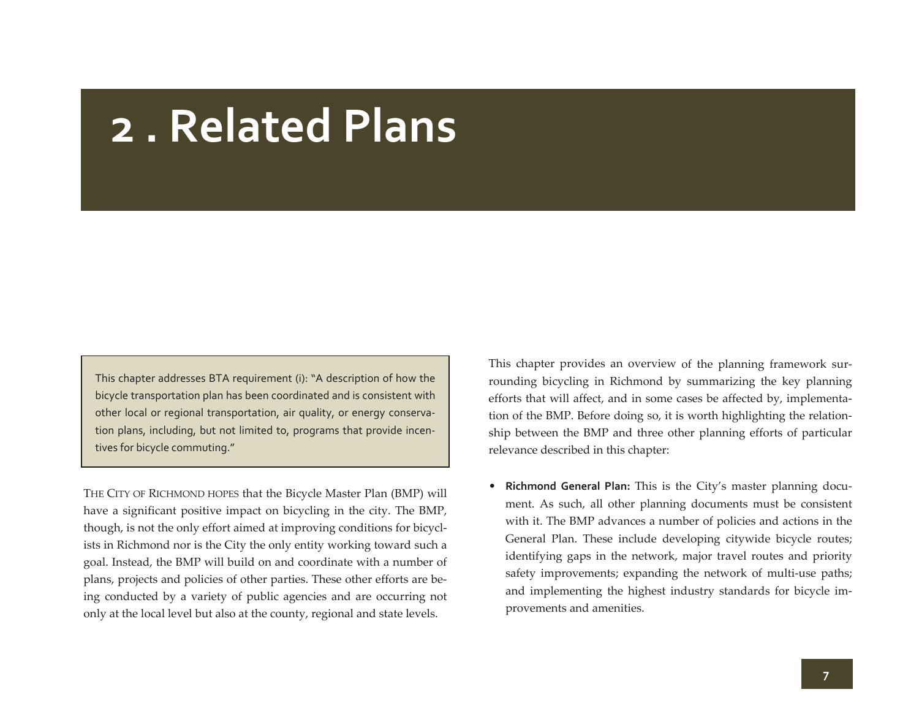# **2 . Related Plans**

This chapter addresses BTA requirement (i): "A description of how the bicycle transportation plan has been coordinated and is consistent with other local or regional transportation, air quality, or energy conserva‐ tion plans, including, but not limited to, programs that provide incen‐ tives for bicycle commuting."

THE CITY OF RICHMOND HOPES that the Bicycle Master Plan (BMP) will have a significant positive impact on bicycling in the city. The BMP, though, is not the only effort aimed at improving conditions for bicyclists in Richmond nor is the City the only entity working toward such <sup>a</sup> goal. Instead, the BMP will build on and coordinate with <sup>a</sup> number of plans, projects and policies of other parties. These other efforts are being conducted by <sup>a</sup> variety of public agencies and are occurring not only at the local level but also at the county, regional and state levels.

This chapter provides an overview of the planning framework sur‐ rounding bicycling in Richmond by summarizing the key planning efforts that will affect, and in some cases be affected by, implementa‐ tion of the BMP. Before doing so, it is worth highlighting the relation‐ ship between the BMP and three other planning efforts of particular relevance described in this chapter:

• **Richmond General Plan:** This is the City's master planning docu‐ ment. As such, all other planning documents must be consistent with it. The BMP advances <sup>a</sup> number of policies and actions in the General Plan. These include developing citywide bicycle routes; identifying gaps in the network, major travel routes and priority safety improvements; expanding the network of multi-use paths; and implementing the highest industry standards for bicycle im‐ provements and amenities.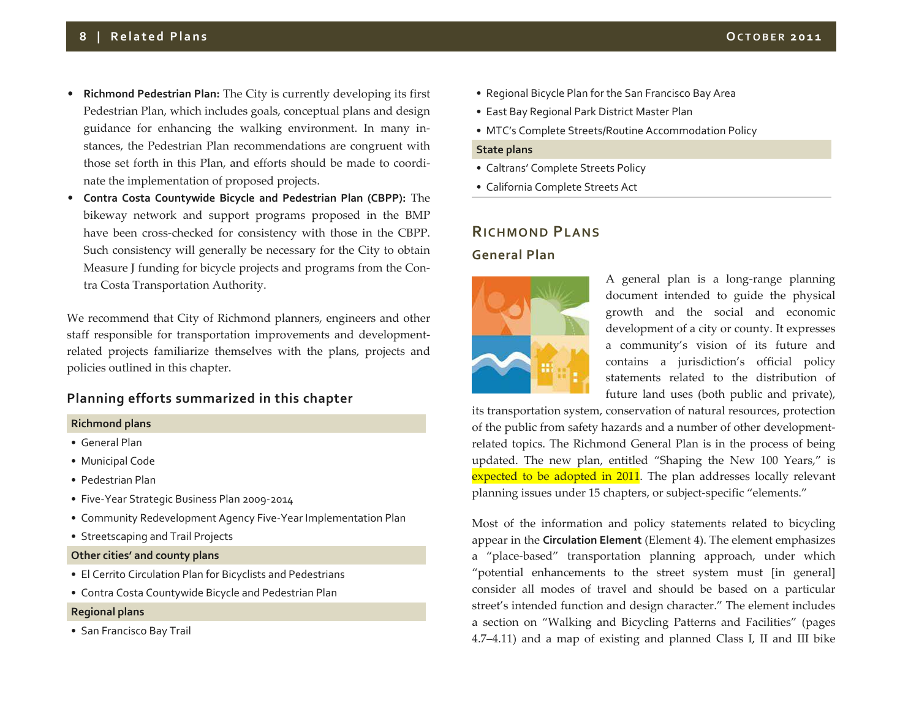- **Richmond Pedestrian Plan:** The City is currently developing its first Pedestrian Plan, which includes goals, conceptual plans and design guidance for enhancing the walking environment. In many in‐ stances, the Pedestrian Plan recommendations are congruen<sup>t</sup> with those set forth in this Plan, and efforts should be made to coordi‐ nate the implementation of proposed projects.
- • **Contra Costa Countywide Bicycle and Pedestrian Plan (CBPP):** The bikeway network and suppor<sup>t</sup> programs proposed in the BMP have been cross‐checked for consistency with those in the CBPP. Such consistency will generally be necessary for the City to obtain Measure J funding for bicycle projects and programs from the Con‐ tra Costa Transportation Authority.

We recommend that City of Richmond planners, engineers and other staff responsible for transportation improvements and development‐ related projects familiarize themselves with the plans, projects and policies outlined in this chapter.

# **Planning efforts summarized in this chapter**

#### **Richmond plans**

- General Plan
- Municipal Code
- Pedestrian Plan
- Five‐Year Strategic Business Plan 2009‐2014
- Community Redevelopment Agency Five‐Year Implementation Plan
- Streetscaping and Trail Projects
- **Other cities' and county plans**
- El Cerrito Circulation Plan for Bicyclists and Pedestrians
- Contra Costa Countywide Bicycle and Pedestrian Plan

#### **Regional plans**

• San Francisco Bay Trail

- Regional Bicycle Plan for the San Francisco Bay Area
- East Bay Regional Park District Master Plan
- MTC's Complete Streets/Routine Accommodation Policy

#### **State plans**

- Caltrans' Complete Streets Policy
- California Complete Streets Act

#### **RICHMOND PLANS**

#### **General Plan**



A general plan is <sup>a</sup> long‐range planning document intended to guide the physical growth and the social and economic development of <sup>a</sup> city or county. It expresses a community's vision of its future and contains a jurisdiction's official policy statements related to the distribution of future land uses (both public and private),

its transportation system, conservation of natural resources, protection of the public from safety hazards and <sup>a</sup> number of other development‐ related topics. The Richmond General Plan is in the process of being updated. The new plan, entitled "Shaping the New 100 Years," is expected to be adopted in 2011. The plan addresses locally relevant planning issues under 15 chapters, or subject‐specific "elements."

Most of the information and policy statements related to bicycling appear in the **Circulation Element** (Element 4). The element emphasizes a "place‐based" transportation planning approach, under which "potential enhancements to the street system must [in general] consider all modes of travel and should be based on <sup>a</sup> particular street's intended function and design character." The element includes a section on "Walking and Bicycling Patterns and Facilities" (pages 4.7–4.11) and <sup>a</sup> map of existing and planned Class I, II and III bike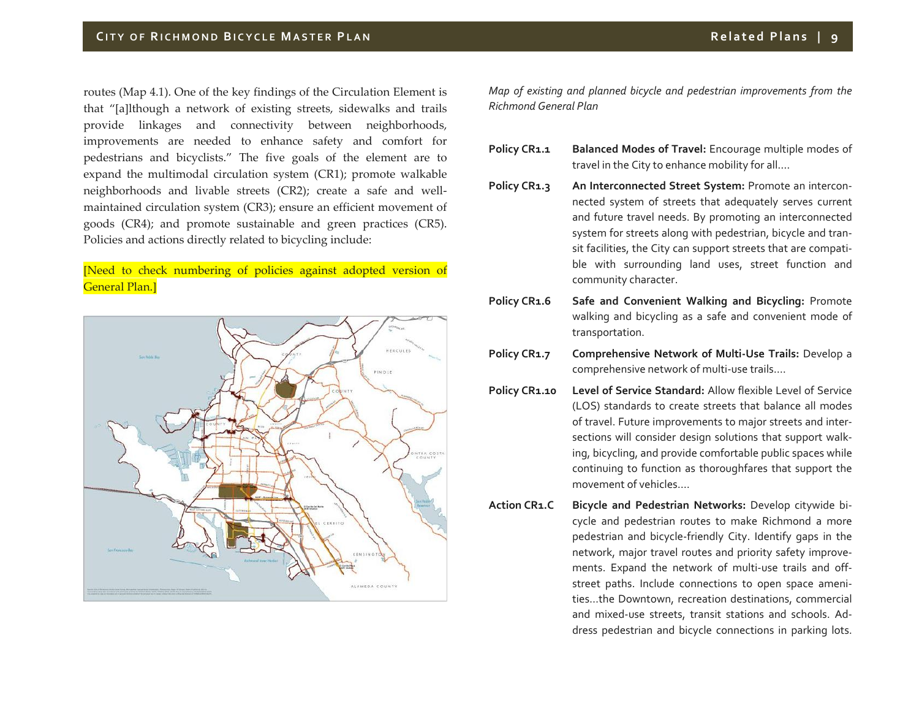routes (Map 4.1). One of the key findings of the Circulation Element is that "[a]lthough <sup>a</sup> network of existing streets, sidewalks and trails provide linkages and connectivity between neighborhoods, improvements are needed to enhance safety and comfort for pedestrians and bicyclists." The five goals of the element are to expand the multimodal circulation system (CR1); promote walkable neighborhoods and livable streets (CR2); create <sup>a</sup> safe and well‐ maintained circulation system (CR3); ensure an efficient movement of goods (CR4); and promote sustainable and green practices (CR5). Policies and actions directly related to bicycling include:

# [Need to check numbering of policies against adopted version of General Plan.]



*Map of existing and planned bicycle and pedestrian improvements from the Richmond General Plan*

- **Policy CR1.1 Balanced Modes of Travel:** Encourage multiple modes of travel in the City to enhance mobility for all….
- **Policy CR1.3 An Interconnected Street System:** Promote an intercon‐ nected system of streets that adequately serves current and future travel needs. By promoting an interconnected system for streets along with pedestrian, bicycle and tran‐ sit facilities, the City can suppor<sup>t</sup> streets that are compati‐ ble with surrounding land uses, street function and community character.
- **Policy CR1.6 Safe and Convenient Walking and Bicycling:** Promote walking and bicycling as <sup>a</sup> safe and convenient mode of transportation.
- **Policy CR1.7 Comprehensive Network of Multi‐Use Trails:** Develop <sup>a</sup> comprehensive network of multi‐use trails….
- **Policy CR1.10 Level of Service Standard:** Allow flexible Level of Service (LOS) standards to create streets that balance all modes of travel. Future improvements to major streets and inter‐ sections will consider design solutions that suppor<sup>t</sup> walk‐ ing, bicycling, and provide comfortable public spaces while continuing to function as thoroughfares that suppor<sup>t</sup> the movement of vehicles….
- **Action CR1.C Bicycle and Pedestrian Networks:** Develop citywide bi‐ cycle and pedestrian routes to make Richmond <sup>a</sup> more pedestrian and bicycle‐friendly City. Identify gaps in the network, major travel routes and priority safety improve‐ ments. Expand the network of multi‐use trails and off‐ street paths. Include connections to open space ameni‐ ties…the Downtown, recreation destinations, commercial and mixed‐use streets, transit stations and schools. Ad‐ dress pedestrian and bicycle connections in parking lots.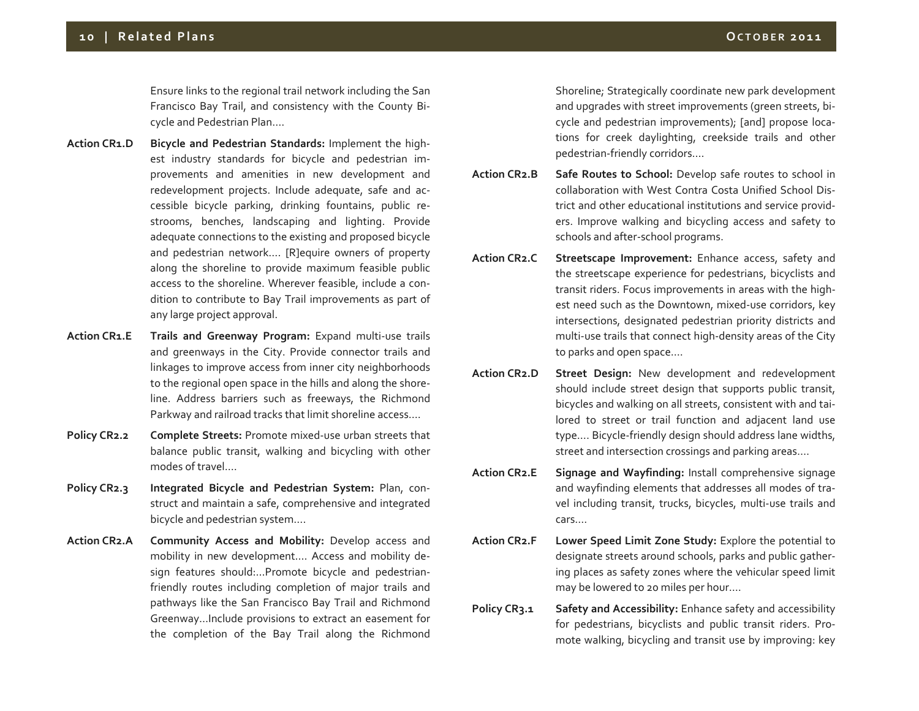Ensure links to the regional trail network including the San Francisco Bay Trail, and consistency with the County Bi‐ cycle and Pedestrian Plan….

- **Action CR1.D Bicycle and Pedestrian Standards:** Implement the high‐ est industry standards for bicycle and pedestrian im‐ provements and amenities in new development and redevelopment projects. Include adequate, safe and ac‐ cessible bicycle parking, drinking fountains, public re‐ strooms, benches, landscaping and lighting. Provide adequate connections to the existing and proposed bicycle and pedestrian network…. [R]equire owners of property along the shoreline to provide maximum feasible public access to the shoreline. Wherever feasible, include <sup>a</sup> con‐ dition to contribute to Bay Trail improvements as par<sup>t</sup> of any large project approval.
- **Action CR1.E Trails and Greenway Program:** Expand multi‐use trails and greenways in the City. Provide connector trails and linkages to improve access from inner city neighborhoods to the regional open space in the hills and along the shore‐ line. Address barriers such as freeways, the Richmond Parkway and railroad tracks that limit shoreline access….
- **Policy CR2.2 Complete Streets:** Promote mixed‐use urban streets that balance public transit, walking and bicycling with other modes of travel….
- **Policy CR2.3 Integrated Bicycle and Pedestrian System:** Plan, con‐ struct and maintain <sup>a</sup> safe, comprehensive and integrated bicycle and pedestrian system….
- **Action CR2.A Community Access and Mobility:** Develop access and mobility in new development…. Access and mobility de‐ sign features should:…Promote bicycle and pedestrian‐ friendly routes including completion of major trails and pathways like the San Francisco Bay Trail and Richmond Greenway…Include provisions to extract an easement for the completion of the Bay Trail along the Richmond

Shoreline; Strategically coordinate new park development and upgrades with street improvements (green streets, bi‐ cycle and pedestrian improvements); [and] propose loca‐ tions for creek daylighting, creekside trails and other pedestrian‐friendly corridors….

- **Action CR2.B Safe Routes to School:** Develop safe routes to school in collaboration with West Contra Costa Unified School Dis‐ trict and other educational institutions and service provid‐ ers. Improve walking and bicycling access and safety to schools and after‐school programs.
- **Action CR2.C Streetscape Improvement:** Enhance access, safety and the streetscape experience for pedestrians, bicyclists and transit riders. Focus improvements in areas with the high‐ est need such as the Downtown, mixed‐use corridors, key intersections, designated pedestrian priority districts and multi‐use trails that connect high‐density areas of the City to parks and open space….
- **Action CR2.D Street Design:** New development and redevelopment should include street design that supports public transit, bicycles and walking on all streets, consistent with and tai‐ lored to street or trail function and adjacent land use type…. Bicycle‐friendly design should address lane widths, street and intersection crossings and parking areas….
- **Action CR2.E Signage and Wayfinding:** Install comprehensive signage and wayfinding elements that addresses all modes of tra‐ vel including transit, trucks, bicycles, multi‐use trails and cars….
- **Action CR2.F Lower Speed Limit Zone Study:** Explore the potential to designate streets around schools, parks and public gather‐ ing places as safety zones where the vehicular speed limit may be lowered to <sup>20</sup> miles per hour….
- **Policy CR3.1 Safety and Accessibility:** Enhance safety and accessibility for pedestrians, bicyclists and public transit riders. Pro‐ mote walking, bicycling and transit use by improving: key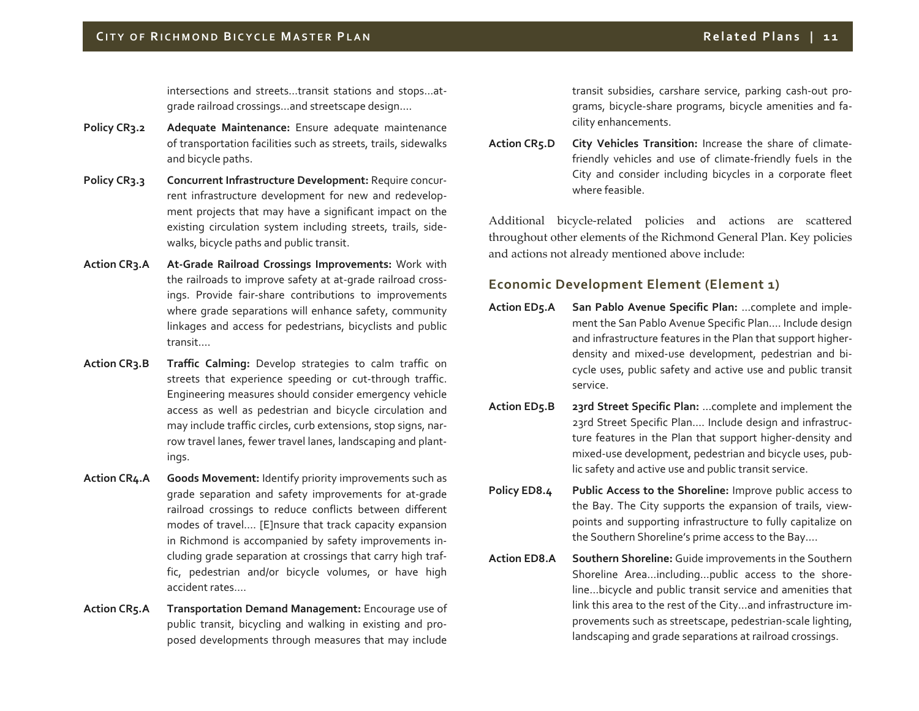intersections and streets…transit stations and stops…at‐ grade railroad crossings…and streetscape design….

- **Policy CR3.2 Adequate Maintenance:** Ensure adequate maintenance of transportation facilities such as streets, trails, sidewalks and bicycle paths.
- **Policy CR3.3 Concurrent Infrastructure Development:** Require concur‐ rent infrastructure development for new and redevelop‐ ment projects that may have <sup>a</sup> significant impact on the existing circulation system including streets, trails, side‐ walks, bicycle paths and public transit.
- **Action CR3.A At‐Grade Railroad Crossings Improvements:** Work with the railroads to improve safety at at‐grade railroad cross‐ ings. Provide fair‐share contributions to improvements where grade separations will enhance safety, community linkages and access for pedestrians, bicyclists and public transit….
- **Action CR3.B Traffic Calming:** Develop strategies to calm traffic on streets that experience speeding or cut‐through traffic. Engineering measures should consider emergency vehicle access as well as pedestrian and bicycle circulation and may include traffic circles, curb extensions, stop signs, nar‐ row travel lanes, fewer travel lanes, landscaping and plant‐ ings.
- **Action CR4.A Goods Movement:** Identify priority improvements such as grade separation and safety improvements for at‐grade railroad crossings to reduce conflicts between different modes of travel…. [E]nsure that track capacity expansion in Richmond is accompanied by safety improvements in‐ cluding grade separation at crossings that carry high traf‐ fic, pedestrian and/or bicycle volumes, or have high accident rates….
- **Action CR5.A Transportation Demand Management:** Encourage use of public transit, bicycling and walking in existing and pro‐ posed developments through measures that may include

transit subsidies, carshare service, parking cash‐out pro‐ grams, bicycle‐share programs, bicycle amenities and fa‐ cility enhancements.

**ActionCity Vehicles Transition:** Increase the share of climatefriendly vehicles and use of climate‐friendly fuels in the City and consider including bicycles in <sup>a</sup> corporate fleet where feasible.

Additional bicycle‐related policies and actions are scattered throughout other elements of the Richmond General Plan. Key policies and actions not already mentioned above include:

# **Economic Development Element (Element 1)**

- **ActionSan Pablo Avenue Specific Plan:** …complete and implement the San Pablo Avenue Specific Plan…. Include design and infrastructure features in the Plan that suppor<sup>t</sup> higher‐ density and mixed‐use development, pedestrian and bi‐ cycle uses, public safety and active use and public transit service.
- **Action23rd Street Specific Plan:** ... complete and implement the 23rd Street Specific Plan…. Include design and infrastruc‐ ture features in the Plan that suppor<sup>t</sup> higher‐density and mixed‐use development, pedestrian and bicycle uses, pub‐ lic safety and active use and public transit service.
- **Policy ED8.4 Public Access to the Shoreline:** Improve public access to the Bay. The City supports the expansion of trails, view‐ points and supporting infrastructure to fully capitalize on the Southern Shoreline's prime access to the Bay….
- **Action ED8.A Southern Shoreline:** Guide improvements in the Southern Shoreline Area…including…public access to the shore‐ line…bicycle and public transit service and amenities that link this area to the rest of the City…and infrastructure im‐ provements such as streetscape, pedestrian‐scale lighting, landscaping and grade separations at railroad crossings.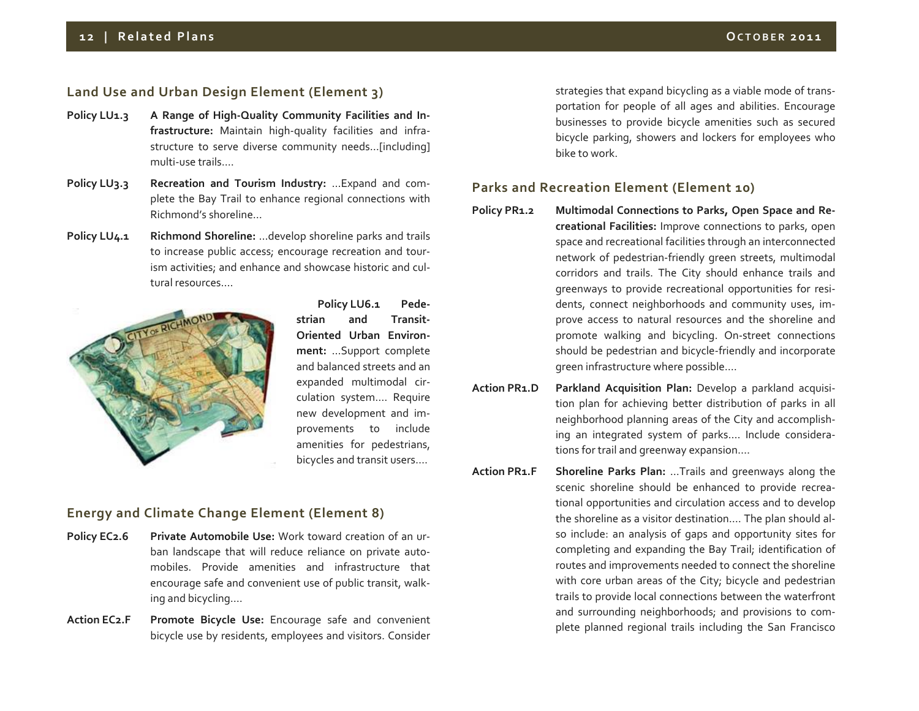# **Land Use and Urban Design Element (Element 3)**

- **Policy LU1.3 <sup>A</sup> Range of High‐Quality Community Facilities and In‐ frastructure:** Maintain high‐quality facilities and infra‐ structure to serve diverse community needs…[including] multi‐use trails….
- **Policy LU3.3 Recreation and Tourism Industry:** …Expand and com‐ plete the Bay Trail to enhance regional connections with Richmond's shoreline…
- **Policy LU4.1 Richmond Shoreline:** …develop shoreline parks and trails to increase public access; encourage recreation and tour‐ ism activities; and enhance and showcase historic and cul‐ tural resources….



**Policy LU6.1 Pede‐ strian and Transit‐ Oriented Urban Environ‐ ment:** …Support complete and balanced streets and an expanded multimodal cir‐ culation system…. Require new development and im‐ provements to include amenities for pedestrians, bicycles and transit users….

# **Energy and Climate Change Element (Element 8)**

- **Policy EC2.6 Private Automobile Use:** Work toward creation of an ur‐ ban landscape that will reduce reliance on private auto‐ mobiles. Provide amenities and infrastructure that encourage safe and convenient use of public transit, walk‐ ing and bicycling….
- **ActionPromote Bicycle Use:** Encourage safe and convenient bicycle use by residents, employees and visitors. Consider

strategies that expand bicycling as <sup>a</sup> viable mode of trans‐ portation for people of all ages and abilities. Encourage businesses to provide bicycle amenities such as secured bicycle parking, showers and lockers for employees who bike to work.

### **Parks and Recreation Element (Element 10)**

- **Policy PR1.2 Multimodal Connections to Parks, Open Space and Re‐ creational Facilities:** Improve connections to parks, open space and recreational facilities through an interconnected network of pedestrian‐friendly green streets, multimodal corridors and trails. The City should enhance trails and greenways to provide recreational opportunities for resi‐ dents, connect neighborhoods and community uses, im‐ prove access to natural resources and the shoreline and promote walking and bicycling. On‐street connections should be pedestrian and bicycle‐friendly and incorporate green infrastructure where possible….
- **Action PR1.D Parkland Acquisition Plan:** Develop <sup>a</sup> parkland acquisi‐ tion plan for achieving better distribution of parks in all neighborhood planning areas of the City and accomplish‐ ing an integrated system of parks…. Include considera‐ tions for trail and greenway expansion….
- **ActionShoreline Parks Plan:** ...Trails and greenways along the scenic shoreline should be enhanced to provide recrea‐ tional opportunities and circulation access and to develop the shoreline as <sup>a</sup> visitor destination…. The plan should al‐ so include: an analysis of gaps and opportunity sites for completing and expanding the Bay Trail; identification of routes and improvements needed to connect the shoreline with core urban areas of the City; bicycle and pedestrian trails to provide local connections between the waterfront and surrounding neighborhoods; and provisions to com‐ plete planned regional trails including the San Francisco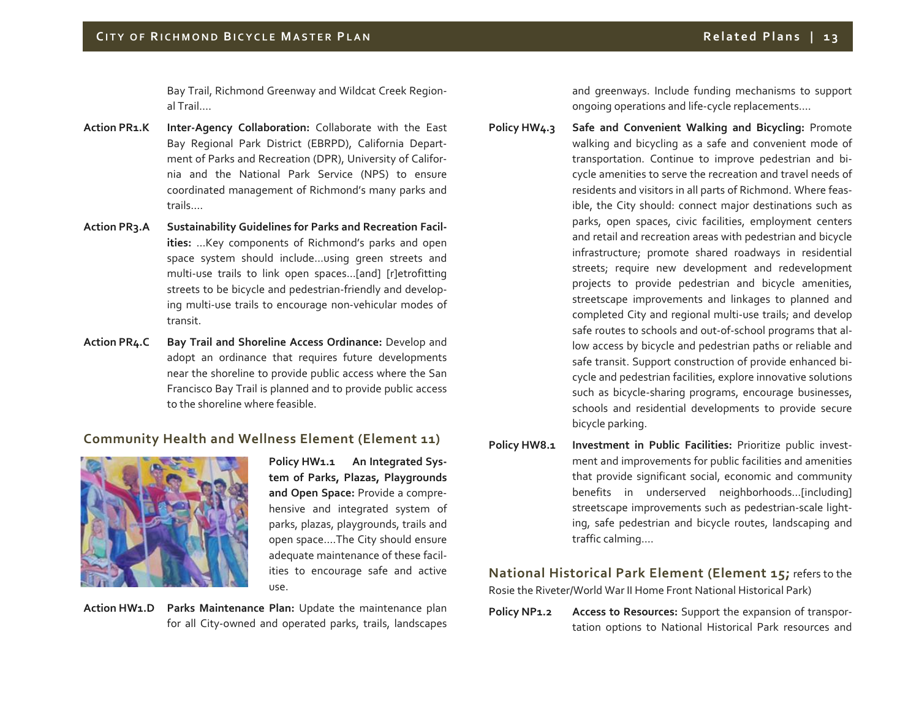Bay Trail, Richmond Greenway and Wildcat Creek Region‐ al Trail….

- **Action PR1.K Inter‐Agency Collaboration:** Collaborate with the East Bay Regional Park District (EBRPD), California Depart‐ ment of Parks and Recreation (DPR), University of Califor‐ nia and the National Park Service (NPS) to ensure coordinated managemen<sup>t</sup> of Richmond's many parks and trails….
- **Action PR3.A Sustainability Guidelines for Parks and Recreation Facil‐ ities:** …Key components of Richmond's parks and open space system should include…using green streets and multi‐use trails to link open spaces...[and] [r]etrofitting streets to be bicycle and pedestrian‐friendly and develop‐ ing multi‐use trails to encourage non‐vehicular modes of transit.
- **Action PR4.C Bay Trail and Shoreline Access Ordinance:** Develop and adopt an ordinance that requires future developments near the shoreline to provide public access where the San Francisco Bay Trail is planned and to provide public access to the shoreline where feasible.

# **Community Health and Wellness Element (Element 11)**



**Policy HW1.1 An Integrated Sys‐ tem of Parks, Plazas, Playgrounds and Open Space:** Provide <sup>a</sup> compre‐ hensive and integrated system of parks, plazas, playgrounds, trails and open space….The City should ensure adequate maintenance of these facil‐ ities to encourage safe and active use.

**Action HW1.D Parks Maintenance Plan:** Update the maintenance plan for all City‐owned and operated parks, trails, landscapes

and greenways. Include funding mechanisms to suppor<sup>t</sup> ongoing operations and life‐cycle replacements….

**Policy HW4.3 Safe and Convenient Walking and Bicycling:** Promote walking and bicycling as <sup>a</sup> safe and convenient mode of transportation. Continue to improve pedestrian and bi‐ cycle amenities to serve the recreation and travel needs of residents and visitors in all parts of Richmond. Where feas‐ ible, the City should: connect major destinations such as parks, open spaces, civic facilities, employment centers and retail and recreation areas with pedestrian and bicycle infrastructure; promote shared roadways in residential streets; require new development and redevelopment projects to provide pedestrian and bicycle amenities, streetscape improvements and linkages to planned and completed City and regional multi‐use trails; and develop safe routes to schools and out‐of‐school programs that al‐ low access by bicycle and pedestrian paths or reliable and safe transit. Support construction of provide enhanced bi‐ cycle and pedestrian facilities, explore innovative solutions such as bicycle‐sharing programs, encourage businesses, schools and residential developments to provide secure bicycle parking.

**Policy HW8.1 Investment in Public Facilities:** Prioritize public invest‐ ment and improvements for public facilities and amenities that provide significant social, economic and community benefits in underserved neighborhoods…[including] streetscape improvements such as pedestrian‐scale light‐ ing, safe pedestrian and bicycle routes, landscaping and traffic calming….

**National Historical Park Element (Element 15;** refers to the Rosie the Riveter/World War II Home Front National Historical Park)

**Policy NP1.2 Access to Resources:** Support the expansion of transpor‐ tation options to National Historical Park resources and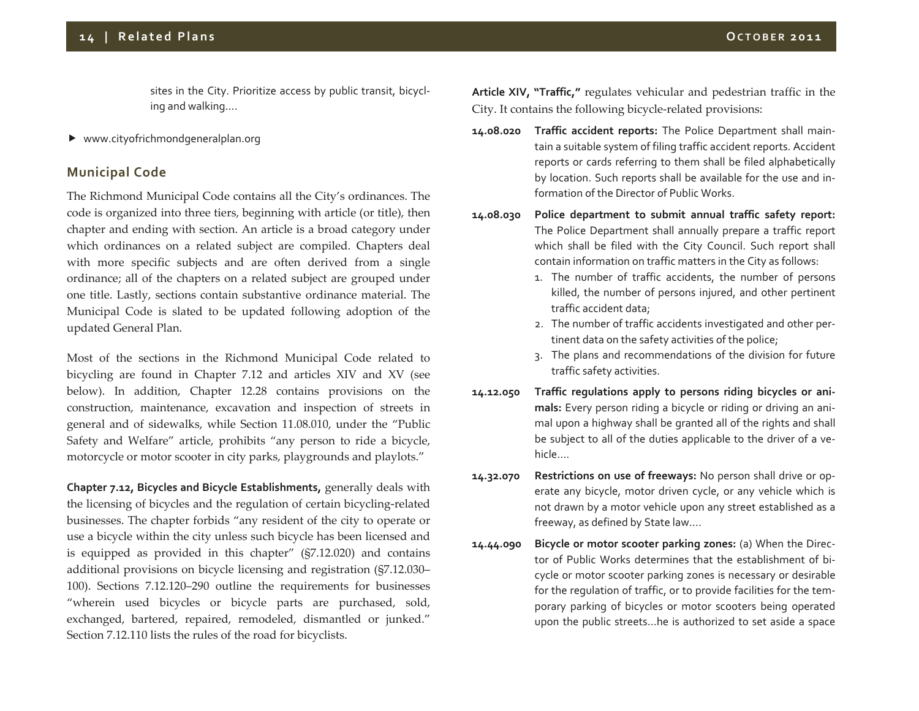sites in the City. Prioritize access by public transit, bicycl‐ ing and walking….

www.cityofrichmondgeneralplan.org

# **Municipal Code**

The Richmond Municipal Code contains all the City's ordinances. The code is organized into three tiers, beginning with article (or title), then chapter and ending with section. An article is <sup>a</sup> broad category under which ordinances on <sup>a</sup> related subject are compiled. Chapters deal with more specific subjects and are often derived from <sup>a</sup> single ordinance; all of the chapters on <sup>a</sup> related subject are grouped under one title. Lastly, sections contain substantive ordinance material. The Municipal Code is slated to be updated following adoption of the updated General Plan.

Most of the sections in the Richmond Municipal Code related to bicycling are found in Chapter 7.12 and articles XIV and XV (see below). In addition, Chapter 12.28 contains provisions on the construction, maintenance, excavation and inspection of streets in general and of sidewalks, while Section 11.08.010, under the "Public Safety and Welfare" article, prohibits "any person to ride <sup>a</sup> bicycle, motorcycle or motor scooter in city parks, playgrounds and playlots."

**Chapter 7.12, Bicycles and Bicycle Establishments,** generally deals with the licensing of bicycles and the regulation of certain bicycling‐related businesses. The chapter forbids "any resident of the city to operate or use a bicycle within the city unless such bicycle has been licensed and is equipped as provided in this chapter" (§7.12.020) and contains additional provisions on bicycle licensing and registration (§7.12.030– 100). Sections 7.12.120–290 outline the requirements for businesses "wherein used bicycles or bicycle parts are purchased, sold, exchanged, bartered, repaired, remodeled, dismantled or junked." Section 7.12.110 lists the rules of the road for bicyclists.

**Article XIV, "Traffic,"** regulates vehicular and pedestrian traffic in the City. It contains the following bicycle‐related provisions:

- **14.08.020 Traffic accident reports:** The Police Department shall main‐ tain <sup>a</sup> suitable system of filing traffic accident reports. Accident reports or cards referring to them shall be filed alphabetically by location. Such reports shall be available for the use and in‐ formation of the Director of Public Works.
- **14.08.030 Police department to submit annual traffic safety report:** The Police Department shall annually prepare <sup>a</sup> traffic repor<sup>t</sup> which shall be filed with the City Council. Such repor<sup>t</sup> shall contain information on traffic matters in the City as follows:
	- 1. The number of traffic accidents, the number of persons killed, the number of persons injured, and other pertinent traffic accident data;
	- 2. The number of traffic accidents investigated and other per‐ tinent data on the safety activities of the police;
	- 3. The plans and recommendations of the division for future traffic safety activities.
- **14.12.050 Traffic regulations apply to persons riding bicycles or ani‐ mals:** Every person riding <sup>a</sup> bicycle or riding or driving an ani‐ mal upon <sup>a</sup> highway shall be granted all of the rights and shall be subject to all of the duties applicable to the driver of <sup>a</sup> ve‐ hicle….
- **14.32.070 Restrictions on use of freeways:** No person shall drive or op‐ erate any bicycle, motor driven cycle, or any vehicle which is not drawn by <sup>a</sup> motor vehicle upon any street established as <sup>a</sup> freeway, as defined by State law….
- **14.44.090 Bicycle or motor scooter parking zones:** (a) When the Direc‐ tor of Public Works determines that the establishment of bi‐ cycle or motor scooter parking zones is necessary or desirable for the regulation of traffic, or to provide facilities for the tem‐ porary parking of bicycles or motor scooters being operated upon the public streets…he is authorized to set aside <sup>a</sup> space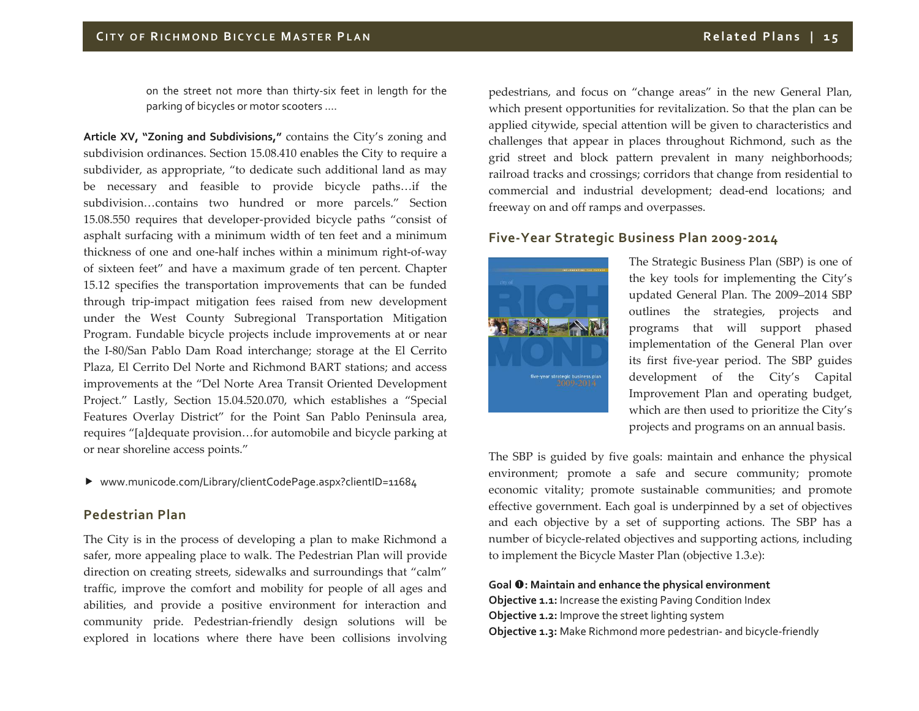on the street not more than thirty‐six feet in length for the parking of bicycles or motor scooters ….

**Article XV, "Zoning and Subdivisions,"** contains the City's zoning and subdivision ordinances. Section 15.08.410 enables the City to require <sup>a</sup> subdivider, as appropriate, "to dedicate such additional land as may be necessary and feasible to provide bicycle paths…if the subdivision…contains two hundred or more parcels." Section 15.08.550 requires that developer‐provided bicycle paths "consist of asphalt surfacing with <sup>a</sup> minimum width of ten feet and <sup>a</sup> minimum thickness of one and one‐half inches within <sup>a</sup> minimum right‐of‐way of sixteen feet" and have <sup>a</sup> maximum grade of ten percent. Chapter 15.12 specifies the transportation improvements that can be funded through trip‐impact mitigation fees raised from new development under the West County Subregional Transportation Mitigation Program. Fundable bicycle projects include improvements at or near the I‐80/San Pablo Dam Road interchange; storage at the El Cerrito Plaza, El Cerrito Del Norte and Richmond BART stations; and access improvements at the "Del Norte Area Transit Oriented Development Project." Lastly, Section 15.04.520.070, which establishes <sup>a</sup> "Special Features Overlay District" for the Point San Pablo Peninsula area, requires "[a]dequate provision…for automobile and bicycle parking at or near shoreline access points."

www.municode.com/Library/clientCodePage.aspx?clientID=11684

## **Pedestrian Plan**

The City is in the process of developing <sup>a</sup> plan to make Richmond <sup>a</sup> safer, more appealing place to walk. The Pedestrian Plan will provide direction on creating streets, sidewalks and surroundings that "calm" traffic, improve the comfort and mobility for people of all ages and abilities, and provide <sup>a</sup> positive environment for interaction and community pride. Pedestrian‐friendly design solutions will be explored in locations where there have been collisions involving

pedestrians, and focus on "change areas" in the new General Plan, which presen<sup>t</sup> opportunities for revitalization. So that the plan can be applied citywide, special attention will be given to characteristics and challenges that appear in places throughout Richmond, such as the grid street and block pattern prevalent in many neighborhoods; railroad tracks and crossings; corridors that change from residential to commercial and industrial development; dead‐end locations; and freeway on and off ramps and overpasses.

# **Five‐Year Strategic Business Plan 2009‐2014**



The Strategic Business Plan (SBP) is one of the key tools for implementing the City's updated General Plan. The 2009–2014 SBP outlines the strategies, projects and programs that will suppor<sup>t</sup> phased implementation of the General Plan over its first five‐year period. The SBP guides development of the City's Capital Improvement Plan and operating budget, which are then used to prioritize the City's projects and programs on an annual basis.

The SBP is guided by five goals: maintain and enhance the physical environment; promote <sup>a</sup> safe and secure community; promote economic vitality; promote sustainable communities; and promote effective government. Each goal is underpinned by <sup>a</sup> set of objectives and each objective by <sup>a</sup> set of supporting actions. The SBP has <sup>a</sup> number of bicycle‐related objectives and supporting actions, including to implement the Bicycle Master Plan (objective 1.3.e):

#### **Goal : Maintain and enhance the physical environment**

**Objective 1.1:** Increase the existing Paving Condition Index **Objective 1.2:** Improve the street lighting system **Objective 1.3:** Make Richmond more pedestrian‐ and bicycle‐friendly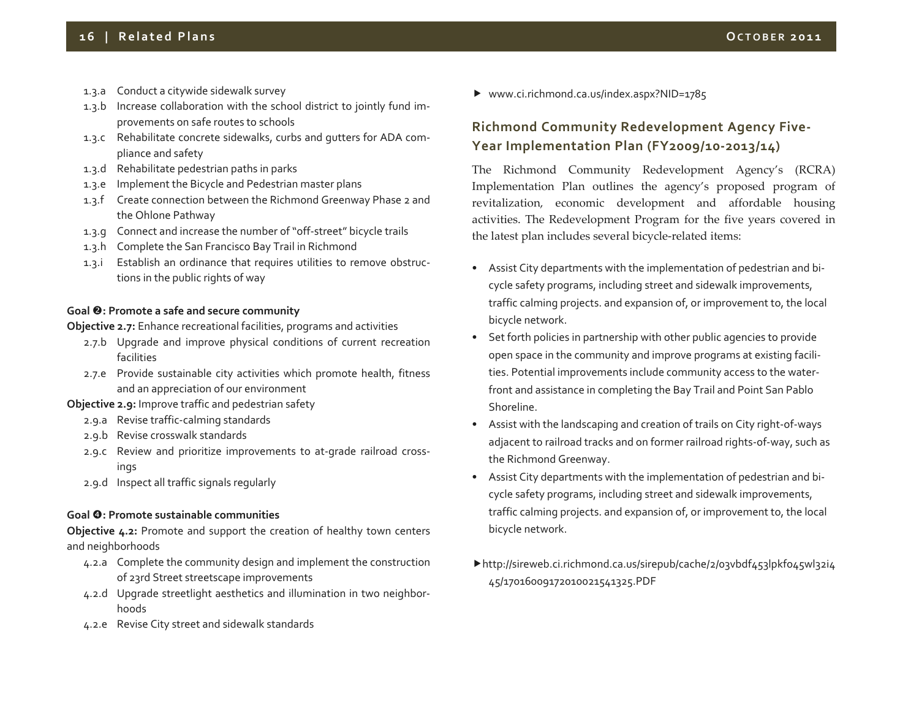- 1.3.a Conduct <sup>a</sup> citywide sidewalk survey
- 1.3.b Increase collaboration with the school district to jointly fund im‐ provements on safe routes to schools
- 1.3.c Rehabilitate concrete sidewalks, curbs and gutters for ADA com‐ pliance and safety
- 1.3.d Rehabilitate pedestrian paths in parks
- 1.3.e Implement the Bicycle and Pedestrian master plans
- 1.3.f Create connection between the Richmond Greenway Phase <sup>2</sup> and the Ohlone Pathway
- 1.3.g Connect and increase the number of "off-street" bicycle trails
- 1.3.h Complete the San Francisco Bay Trail in Richmond
- 1.3.i Establish an ordinance that requires utilities to remove obstruc‐ tions in the public rights of way

#### **Goal : Promote a safe and secure community**

**Objective 2.7:** Enhance recreational facilities, programs and activities

- 2.7.b Upgrade and improve physical conditions of current recreation facilities
- 2.7.e Provide sustainable city activities which promote health, fitness and an appreciation of our environment
- **Objective 2.9:** Improve traffic and pedestrian safety
	- 2.9.a Revise traffic‐calming standards
	- 2.9.b Revise crosswalk standards
	- 2.9.c Review and prioritize improvements to at‐grade railroad cross‐ ings
	- 2.9.d Inspect all traffic signals regularly

#### **Goal : Promote sustainable communities**

**Objective 4.2:** Promote and suppor<sup>t</sup> the creation of healthy town centers and neighborhoods

- 4.2.a Complete the community design and implement the construction of 23rd Street streetscape improvements
- 4.2.d Upgrade streetlight aesthetics and illumination in two neighbor‐ hoods
- 4.2.e Revise City street and sidewalk standards

www.ci.richmond.ca.us/index.aspx?NID=1785

# **Richmond Community Redevelopment Agency Five‐ Year Implementation Plan (FY2009/10‐2013/14)**

The Richmond Community Redevelopment Agency's (RCRA) Implementation Plan outlines the agency's proposed program of revitalization, economic development and affordable housing activities. The Redevelopment Program for the five years covered in the latest plan includes several bicycle‐related items:

- Assist City departments with the implementation of pedestrian and bi‐ cycle safety programs, including street and sidewalk improvements, traffic calming projects. and expansion of, or improvement to, the local bicycle network.
- Set forth policies in partnership with other public agencies to provide open space in the community and improve programs at existing facili‐ ties. Potential improvements include community access to the water‐ front and assistance in completing the Bay Trail and Point San Pablo Shoreline.
- Assist with the landscaping and creation of trails on City right‐of‐ways adjacent to railroad tracks and on former railroad rights‐of‐way, such as the Richmond Greenway.
- Assist City departments with the implementation of pedestrian and bi‐ cycle safety programs, including street and sidewalk improvements, traffic calming projects. and expansion of, or improvement to, the local bicycle network.
- http://sireweb.ci.richmond.ca.us/sirepub/cache/2/03vbdf453lpkfo45wl32i4 45/17016009172010021541325.PDF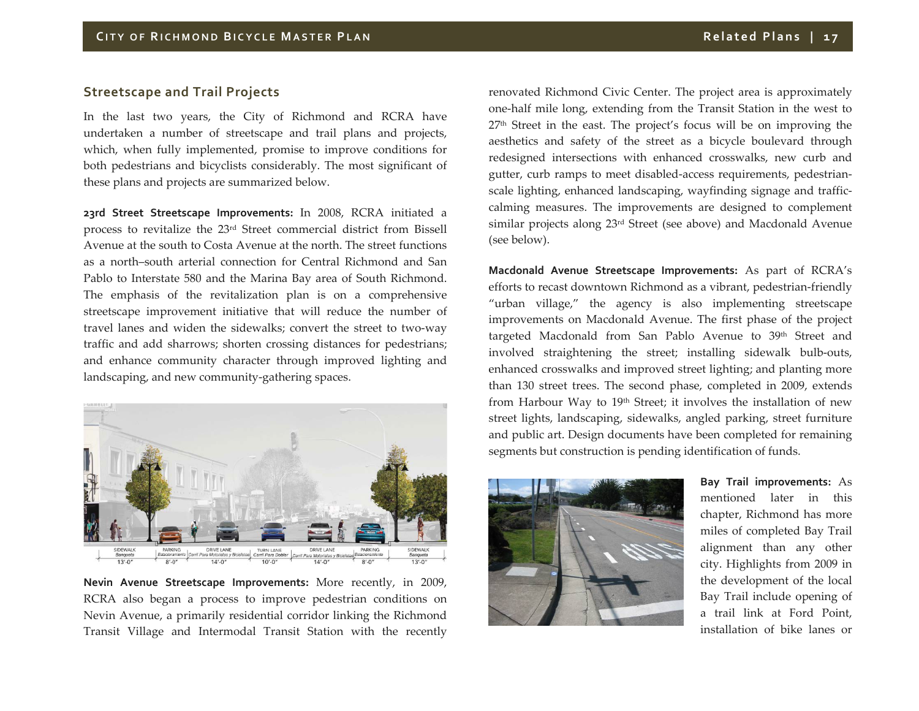# **Streetscape and Trail Projects**

In the last two years, the City of Richmond and RCRA have undertaken <sup>a</sup> number of streetscape and trail plans and projects, which, when fully implemented, promise to improve conditions for both pedestrians and bicyclists considerably. The most significant of these plans and projects are summarized below.

**23rd Street Streetscape Improvements:** In 2008, RCRA initiated <sup>a</sup> process to revitalize the 23rd Street commercial district from Bissell Avenue at the south to Costa Avenue at the north. The street functions as a north–south arterial connection for Central Richmond and San Pablo to Interstate 580 and the Marina Bay area of South Richmond. The emphasis of the revitalization plan is on <sup>a</sup> comprehensive streetscape improvement initiative that will reduce the number of travel lanes and widen the sidewalks; convert the street to two‐way traffic and add sharrows; shorten crossing distances for pedestrians; and enhance community character through improved lighting and landscaping, and new community‐gathering spaces.



**Nevin Avenue Streetscape Improvements:** More recently, in 2009, RCRA also began <sup>a</sup> process to improve pedestrian conditions on Nevin Avenue, <sup>a</sup> primarily residential corridor linking the Richmond Transit Village and Intermodal Transit Station with the recently

renovated Richmond Civic Center. The project area is approximately one‐half mile long, extending from the Transit Station in the west to 27th Street in the east. The project's focus will be on improving the aesthetics and safety of the street as <sup>a</sup> bicycle boulevard through redesigned intersections with enhanced crosswalks, new curb and gutter, curb ramps to meet disabled‐access requirements, pedestrian‐ scale lighting, enhanced landscaping, wayfinding signage and traffic‐ calming measures. The improvements are designed to complement similar projects along 23rd Street (see above) and Macdonald Avenue (see below).

**Macdonald Avenue Streetscape Improvements:** As par<sup>t</sup> of RCRA's efforts to recast downtown Richmond as <sup>a</sup> vibrant, pedestrian‐friendly "urban village," the agency is also implementing streetscape improvements on Macdonald Avenue. The first phase of the project targeted Macdonald from San Pablo Avenue to 39<sup>th</sup> Street and involved straightening the street; installing sidewalk bulb‐outs, enhanced crosswalks and improved street lighting; and planting more than 130 street trees. The second phase, completed in 2009, extends from Harbour Way to 19th Street; it involves the installation of new street lights, landscaping, sidewalks, angled parking, street furniture and public art. Design documents have been completed for remaining segments but construction is pending identification of funds.



**Bay Trail improvements:** As mentioned later in this chapter, Richmond has more miles of completed Bay Trail alignment than any other city. Highlights from 2009 in the development of the local Bay Trail include opening of a trail link at Ford Point, installation of bike lanes or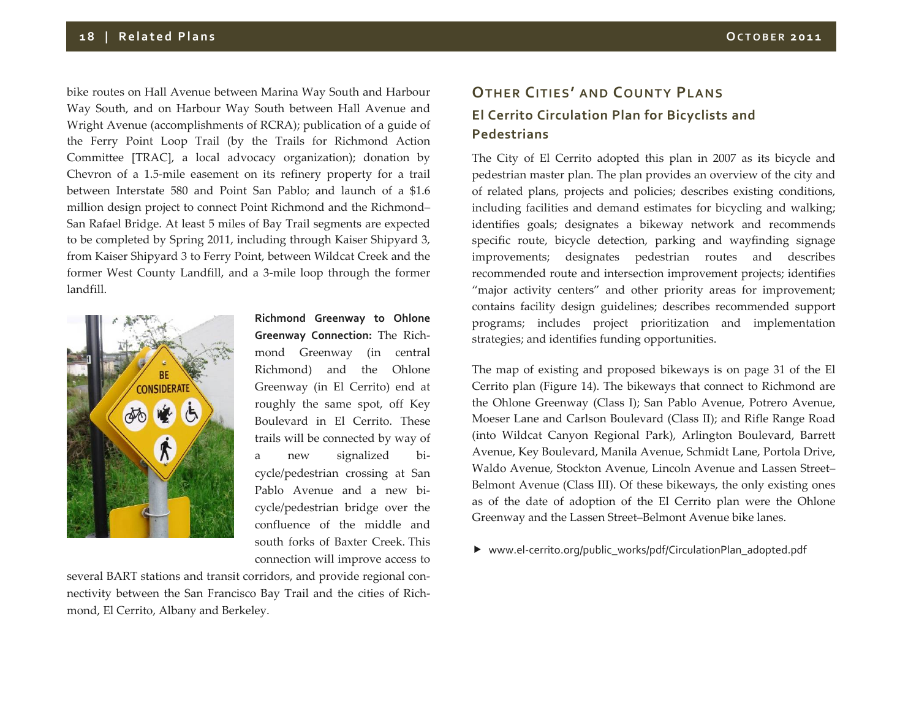bike routes on Hall Avenue between Marina Way South and Harbour Way South, and on Harbour Way South between Hall Avenue and Wright Avenue (accomplishments of RCRA); publication of <sup>a</sup> guide of the Ferry Point Loop Trail (by the Trails for Richmond Action Committee [TRAC], <sup>a</sup> local advocacy organization); donation by Chevron of <sup>a</sup> 1.5‐mile easement on its refinery property for <sup>a</sup> trail between Interstate 580 and Point San Pablo; and launch of <sup>a</sup> \$1.6 million design project to connect Point Richmond and the Richmond– San Rafael Bridge. At least <sup>5</sup> miles of Bay Trail segments are expected to be completed by Spring 2011, including through Kaiser Shipyard 3, from Kaiser Shipyard 3 to Ferry Point, between Wildcat Creek and the former West County Landfill, and <sup>a</sup> 3‐mile loop through the former landfill.



**Richmond Greenway to Ohlone Greenway Connection:** The Rich‐ mond Greenway (in central Richmond) and the Ohlone Greenway (in El Cerrito) end at roughly the same spot, off Key Boulevard in El Cerrito. These trails will be connected by way of a newsignalized bicycle/pedestrian crossing at San Pablo Avenue and a new bi‐ cycle/pedestrian bridge over the confluence of the middle andsouth forks of Baxter Creek. This connection will improve access to

several BART stations and transit corridors, and provide regional con‐ nectivity between the San Francisco Bay Trail and the cities of Rich‐ mond, El Cerrito, Albany and Berkeley.

# **OTHER CITIES' AND COUNTY PLANS El Cerrito Circulation Plan for Bicyclists and Pedestrians**

The City of El Cerrito adopted this plan in 2007 as its bicycle and pedestrian master plan. The plan provides an overview of the city and of related plans, projects and policies; describes existing conditions, including facilities and demand estimates for bicycling and walking; identifies goals; designates <sup>a</sup> bikeway network and recommends specific route, bicycle detection, parking and wayfinding signage improvements; designates pedestrian routes and describes recommended route and intersection improvement projects; identifies "major activity centers" and other priority areas for improvement; contains facility design guidelines; describes recommended suppor<sup>t</sup> programs; includes project prioritization and implementation strategies; and identifies funding opportunities.

The map of existing and proposed bikeways is on page 31 of the El Cerrito plan (Figure 14). The bikeways that connect to Richmond are the Ohlone Greenway (Class I); San Pablo Avenue, Potrero Avenue, Moeser Lane and Carlson Boulevard (Class II); and Rifle Range Road (into Wildcat Canyon Regional Park), Arlington Boulevard, Barrett Avenue, Key Boulevard, Manila Avenue, Schmidt Lane, Portola Drive, Waldo Avenue, Stockton Avenue, Lincoln Avenue and Lassen Street– Belmont Avenue (Class III). Of these bikeways, the only existing ones as of the date of adoption of the El Cerrito plan were the Ohlone Greenway and the Lassen Street–Belmont Avenue bike lanes.

▶ www.el-cerrito.org/public\_works/pdf/CirculationPlan\_adopted.pdf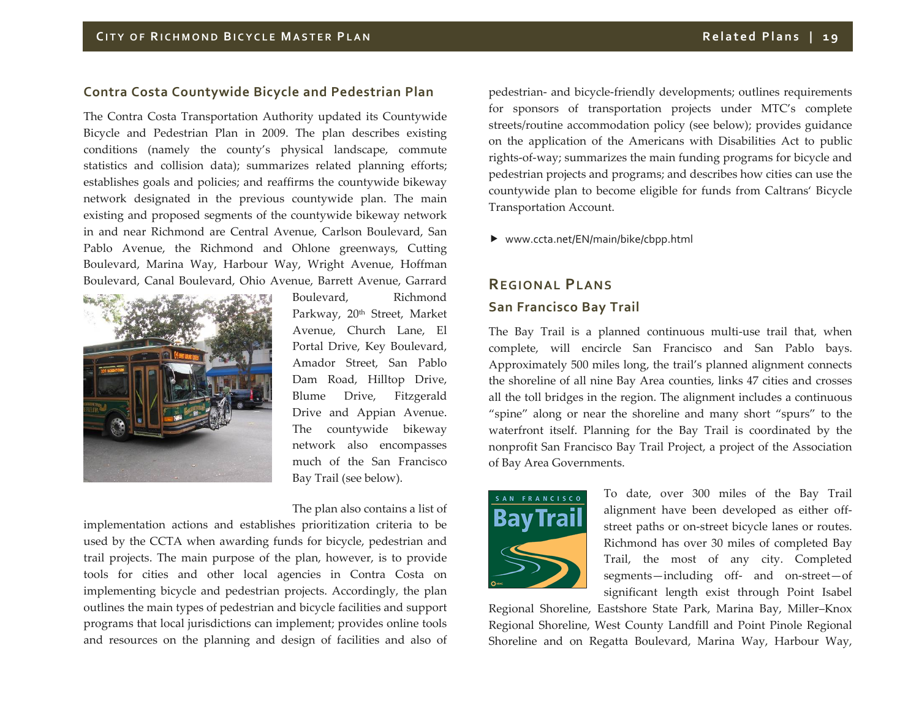# **Contra Costa Countywide Bicycle and Pedestrian Plan**

The Contra Costa Transportation Authority updated its Countywide Bicycle and Pedestrian Plan in 2009. The plan describes existing conditions (namely the county's physical landscape, commute statistics and collision data); summarizes related planning efforts; establishes goals and policies; and reaffirms the countywide bikeway network designated in the previous countywide plan. The main existing and proposed segments of the countywide bikeway network in and near Richmond are Central Avenue, Carlson Boulevard, San Pablo Avenue, the Richmond and Ohlone greenways, Cutting Boulevard, Marina Way, Harbour Way, Wright Avenue, Hoffman Boulevard, Canal Boulevard, Ohio Avenue, Barrett Avenue, Garrard



Boulevard, Richmond Parkway, 20<sup>th</sup> Street, Market Avenue, Church Lane, El Portal Drive, Key Boulevard, Amador Street, San Pablo Dam Road, Hilltop Drive, Blume Drive, Fitzgerald Drive and Appian Avenue. The countywide bikeway network also encompasses much of the San Francisco Bay Trail (see below).

The plan also contains <sup>a</sup> list of

implementation actions and establishes prioritization criteria to be used by the CCTA when awarding funds for bicycle, pedestrian and trail projects. The main purpose of the plan, however, is to provide tools for cities and other local agencies in Contra Costa on implementing bicycle and pedestrian projects. Accordingly, the plan outlines the main types of pedestrian and bicycle facilities and suppor<sup>t</sup> programs that local jurisdictions can implement; provides online tools and resources on the planning and design of facilities and also of

pedestrian‐ and bicycle‐friendly developments; outlines requirements for sponsors of transportation projects under MTC's complete streets/routine accommodation policy (see below); provides guidance on the application of the Americans with Disabilities Act to public rights‐of‐way; summarizes the main funding programs for bicycle and pedestrian projects and programs; and describes how cities can use the countywide plan to become eligible for funds from Caltrans' Bicycle Transportation Account.

▶ www.ccta.net/EN/main/bike/cbpp.html

# **REGIONAL PLANSSan Francisco Bay Trail**

The Bay Trail is <sup>a</sup> planned continuous multi‐use trail that, when complete, will encircle San Francisco and San Pablo bays. Approximately 500 miles long, the trail's planned alignment connects the shoreline of all nine Bay Area counties, links <sup>47</sup> cities and crosses all the toll bridges in the region. The alignment includes <sup>a</sup> continuous "spine" along or near the shoreline and many short "spurs" to the waterfront itself. Planning for the Bay Trail is coordinated by the nonprofit San Francisco Bay Trail Project, <sup>a</sup> project of the Association of Bay Area Governments.



To date, over 300 miles of the Bay Trail alignment have been developed as either off‐ street paths or on‐street bicycle lanes or routes. Richmond has over 30 miles of completed Bay Trail, the most of any city. Completed segments—including off- and on-street—of significant length exist through Point Isabel

Regional Shoreline, Eastshore State Park, Marina Bay, Miller–Knox Regional Shoreline, West County Landfill and Point Pinole Regional Shoreline and on Regatta Boulevard, Marina Way, Harbour Way,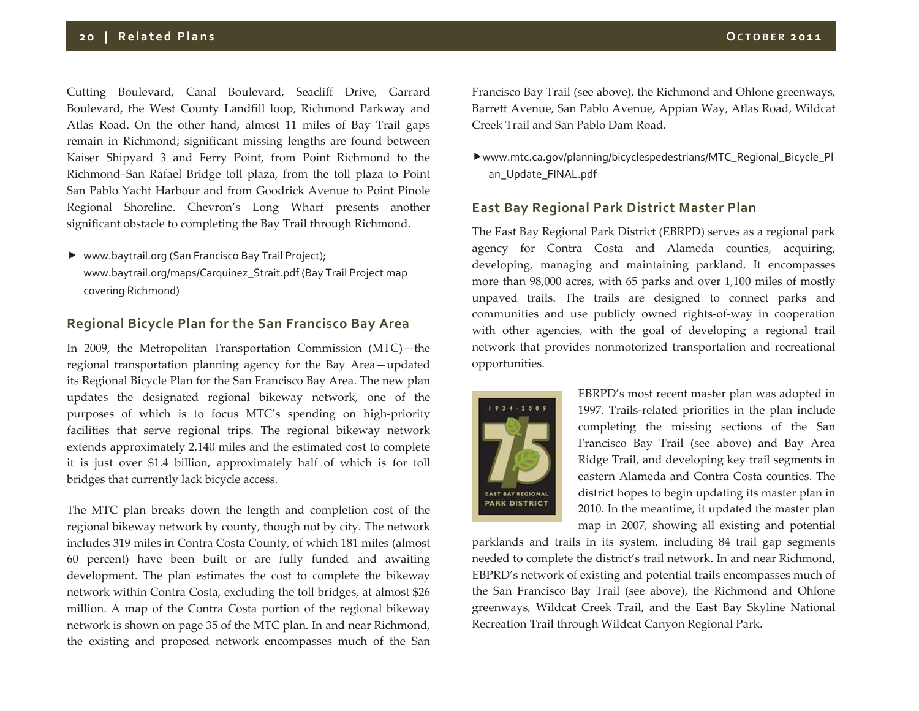Cutting Boulevard, Canal Boulevard, Seacliff Drive, Garrard Boulevard, the West County Landfill loop, Richmond Parkway and Atlas Road. On the other hand, almost <sup>11</sup> miles of Bay Trail gaps remain in Richmond; significant missing lengths are found between Kaiser Shipyard 3 and Ferry Point, from Point Richmond to the Richmond–San Rafael Bridge toll plaza, from the toll plaza to Point San Pablo Yacht Harbour and from Goodrick Avenue to Point Pinole Regional Shoreline. Chevron's Long Wharf presents another

▶ www.baytrail.org (San Francisco Bay Trail Project); www.baytrail.org/maps/Carquinez\_Strait.pdf (Bay Trail Project map covering Richmond)

significant obstacle to completing the Bay Trail through Richmond.

# **Regional Bicycle Plan for the San Francisco Bay Area**

In 2009, the Metropolitan Transportation Commission (MTC)—the regional transportation planning agency for the Bay Area—updated its Regional Bicycle Plan for the San Francisco Bay Area. The new plan updates the designated regional bikeway network, one of the purposes of which is to focus MTC's spending on high‐priority facilities that serve regional trips. The regional bikeway network extends approximately 2,140 miles and the estimated cost to complete it is just over \$1.4 billion, approximately half of which is for toll bridges that currently lack bicycle access.

The MTC plan breaks down the length and completion cost of the regional bikeway network by county, though not by city. The network includes 319 miles in Contra Costa County, of which 181 miles (almost 60 percent) have been built or are fully funded and awaiting development. The plan estimates the cost to complete the bikeway network within Contra Costa, excluding the toll bridges, at almost \$26 million. A map of the Contra Costa portion of the regional bikeway network is shown on page 35 of the MTC plan. In and near Richmond, the existing and proposed network encompasses much of the San

Francisco Bay Trail (see above), the Richmond and Ohlone greenways, Barrett Avenue, San Pablo Avenue, Appian Way, Atlas Road, Wildcat Creek Trail and San Pablo Dam Road.

www.mtc.ca.gov/planning/bicyclespedestrians/MTC\_Regional\_Bicycle\_Pl an\_Update\_FINAL.pdf

## **East Bay Regional Park District Master Plan**

The East Bay Regional Park District (EBRPD) serves as <sup>a</sup> regional park agency for Contra Costa and Alameda counties, acquiring, developing, managing and maintaining parkland. It encompasses more than 98,000 acres, with 65 parks and over 1,100 miles of mostly unpaved trails. The trails are designed to connect parks and communities and use publicly owned rights‐of‐way in cooperation with other agencies, with the goal of developing <sup>a</sup> regional trail network that provides nonmotorized transportation and recreational opportunities.



EBRPD's most recent master plan was adopted in 1997. Trails‐related priorities in the plan include completing the missing sections of the San Francisco Bay Trail (see above) and Bay Area Ridge Trail, and developing key trail segments in eastern Alameda and Contra Costa counties. The district hopes to begin updating its master plan in 2010. In the meantime, it updated the master plan map in 2007, showing all existing and potential

parklands and trails in its system, including 84 trail gap segments needed to complete the district's trail network. In and near Richmond, EBPRD's network of existing and potential trails encompasses much of the San Francisco Bay Trail (see above), the Richmond and Ohlone greenways, Wildcat Creek Trail, and the East Bay Skyline National Recreation Trail through Wildcat Canyon Regional Park.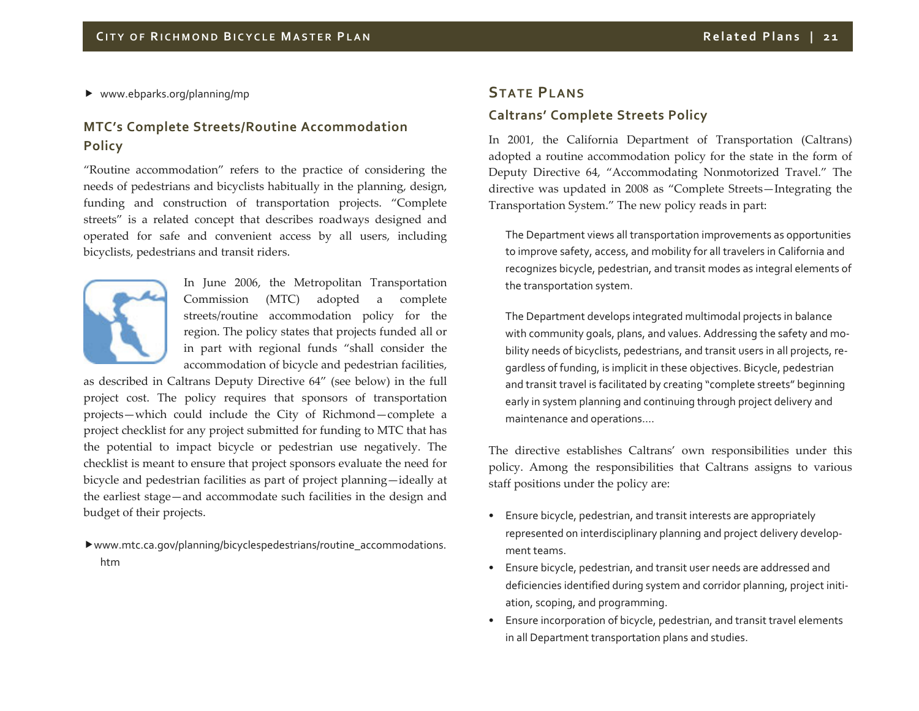www.ebparks.org/planning/mp

# **MTC's Complete Streets/Routine Accommodation Policy**

"Routine accommodation" refers to the practice of considering the needs of pedestrians and bicyclists habitually in the planning, design, funding and construction of transportation projects. "Complete streets" is <sup>a</sup> related concep<sup>t</sup> that describes roadways designed and operated for safe and convenient access by all users, including bicyclists, pedestrians and transit riders.



In June 2006, the Metropolitan Transportation Commission (MTC) adopted <sup>a</sup> complete streets/routine accommodation policy for the region. The policy states that projects funded all or in par<sup>t</sup> with regional funds "shall consider the accommodation of bicycle and pedestrian facilities,

as described in Caltrans Deputy Directive 64" (see below) in the full project cost. The policy requires that sponsors of transportation projects—which could include the City of Richmond—complete <sup>a</sup> project checklist for any project submitted for funding to MTC that has the potential to impact bicycle or pedestrian use negatively. The checklist is meant to ensure that project sponsors evaluate the need for bicycle and pedestrian facilities as par<sup>t</sup> of project planning—ideally at the earliest stage—and accommodate such facilities in the design and budget of their projects.

www.mtc.ca.gov/planning/bicyclespedestrians/routine\_accommodations. htm

# **STATE PLANSCaltrans' Complete Streets Policy**

In 2001, the California Department of Transportation (Caltrans) adopted <sup>a</sup> routine accommodation policy for the state in the form of Deputy Directive 64, "Accommodating Nonmotorized Travel." The directive was updated in 2008 as "Complete Streets—Integrating the Transportation System." The new policy reads in part:

The Department views all transportation improvements as opportunities to improve safety, access, and mobility for all travelers in California and recognizes bicycle, pedestrian, and transit modes as integral elements of the transportation system.

The Department develops integrated multimodal projects in balance with community goals, plans, and values. Addressing the safety and mo‐ bility needs of bicyclists, pedestrians, and transit users in all projects, re‐ gardless of funding, is implicit in these objectives. Bicycle, pedestrian and transit travel is facilitated by creating "complete streets" beginning early in system planning and continuing through project delivery and maintenance and operations….

The directive establishes Caltrans' own responsibilities under this policy. Among the responsibilities that Caltrans assigns to various staff positions under the policy are:

- Ensure bicycle, pedestrian, and transit interests are appropriately represented on interdisciplinary planning and project delivery develop‐ ment teams.
- • Ensure bicycle, pedestrian, and transit user needs are addressed and deficiencies identified during system and corridor planning, project initi‐ ation, scoping, and programming.
- Ensure incorporation of bicycle, pedestrian, and transit travel elements in all Department transportation plans and studies.